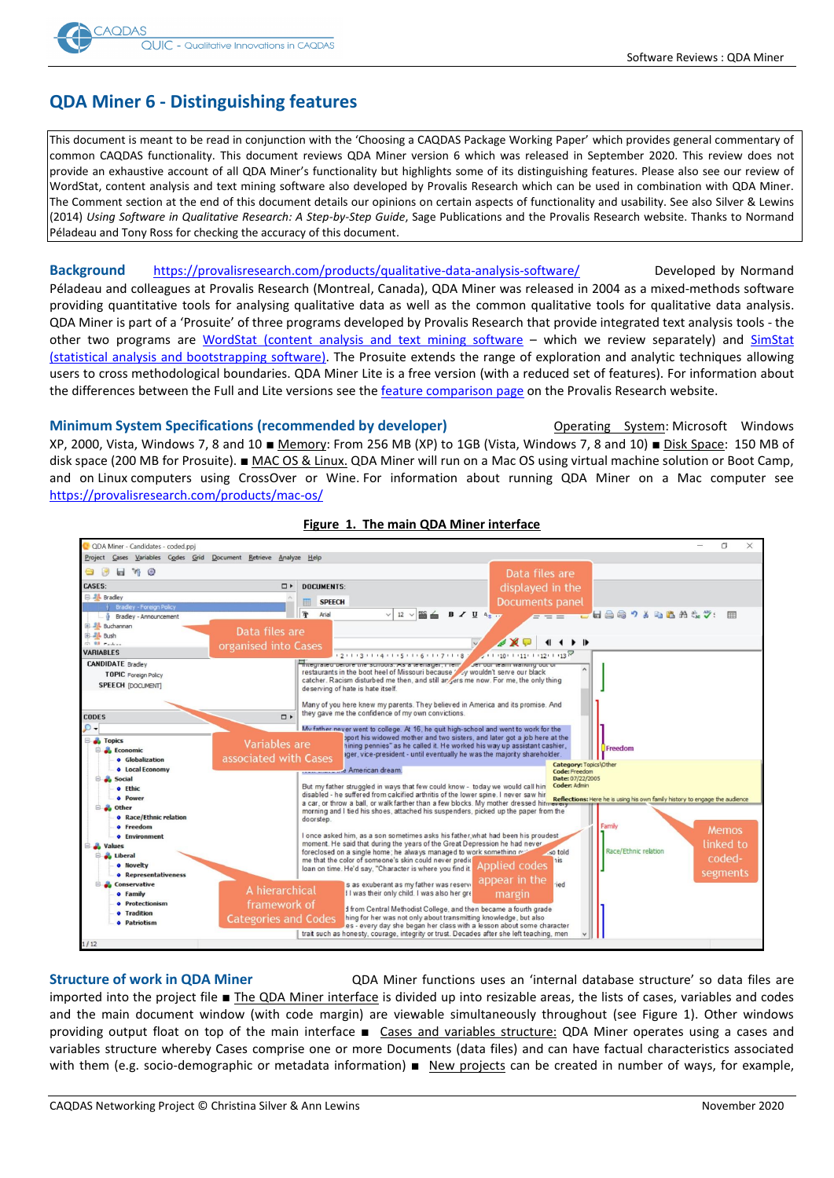

# **QDA Miner 6 - Distinguishing features**

This document is meant to be read in conjunction with the 'Choosing a CAQDAS Package Working Paper' which provides general commentary of common CAQDAS functionality. This document reviews QDA Miner version 6 which was released in September 2020. This review does not provide an exhaustive account of all QDA Miner's functionality but highlights some of its distinguishing features. Please also see our review of WordStat, content analysis and text mining software also developed by Provalis Research which can be used in combination with QDA Miner. The Comment section at the end of this document details our opinions on certain aspects of functionality and usability. See also Silver & Lewins (2014) *Using Software in Qualitative Research: A Step-by-Step Guide*, Sage Publications and the Provalis Research website. Thanks to Normand Péladeau and Tony Ross for checking the accuracy of this document.

**Background** <https://provalisresearch.com/products/qualitative-data-analysis-software/> Developed by Normand Péladeau and colleagues at Provalis Research (Montreal, Canada), QDA Miner was released in 2004 as a mixed-methods software providing quantitative tools for analysing qualitative data as well as the common qualitative tools for qualitative data analysis. QDA Miner is part of a 'Prosuite' of three programs developed by Provalis Research that provide integrated text analysis tools - the other two programs are [WordStat \(content analysis and text mining software](https://provalisresearch.com/products/content-analysis-software/) – which we review separately) and [SimStat](https://provalisresearch.com/products/simstat/)  [\(statistical analysis and bootstrapping software\).](https://provalisresearch.com/products/simstat/) The Prosuite extends the range of exploration and analytic techniques allowing users to cross methodological boundaries. QDA Miner Lite is a free version (with a reduced set of features). For information about the differences between the Full and Lite versions see the [feature comparison page](https://provalisresearch.com/products/qualitative-data-analysis-software/freeware/compare-versions/) on the Provalis Research website.

**Minimum System Specifications (recommended by developer)** Operating System: Microsoft Windows XP, 2000, Vista, Windows 7, 8 and 10 ■ Memory: From 256 MB (XP) to 1GB (Vista, Windows 7, 8 and 10) ■ Disk Space: 150 MB of disk space (200 MB for Prosuite). ■ MAC OS & Linux. QDA Miner will run on a Mac OS using virtual machine solution or Boot Camp, and on Linux computers using CrossOver or Wine. For information about running QDA Miner on a Mac computer see <https://provalisresearch.com/products/mac-os/>



### **Figure 1. The main QDA Miner interface**

**Structure of work in QDA Miner** QDA Miner functions uses an 'internal database structure' so data files are imported into the project file ■ The QDA Miner interface is divided up into resizable areas, the lists of cases, variables and codes and the main document window (with code margin) are viewable simultaneously throughout (see Figure 1). Other windows providing output float on top of the main interface ■ Cases and variables structure: QDA Miner operates using a cases and variables structure whereby Cases comprise one or more Documents (data files) and can have factual characteristics associated with them (e.g. socio-demographic or metadata information) ■ New projects can be created in number of ways, for example,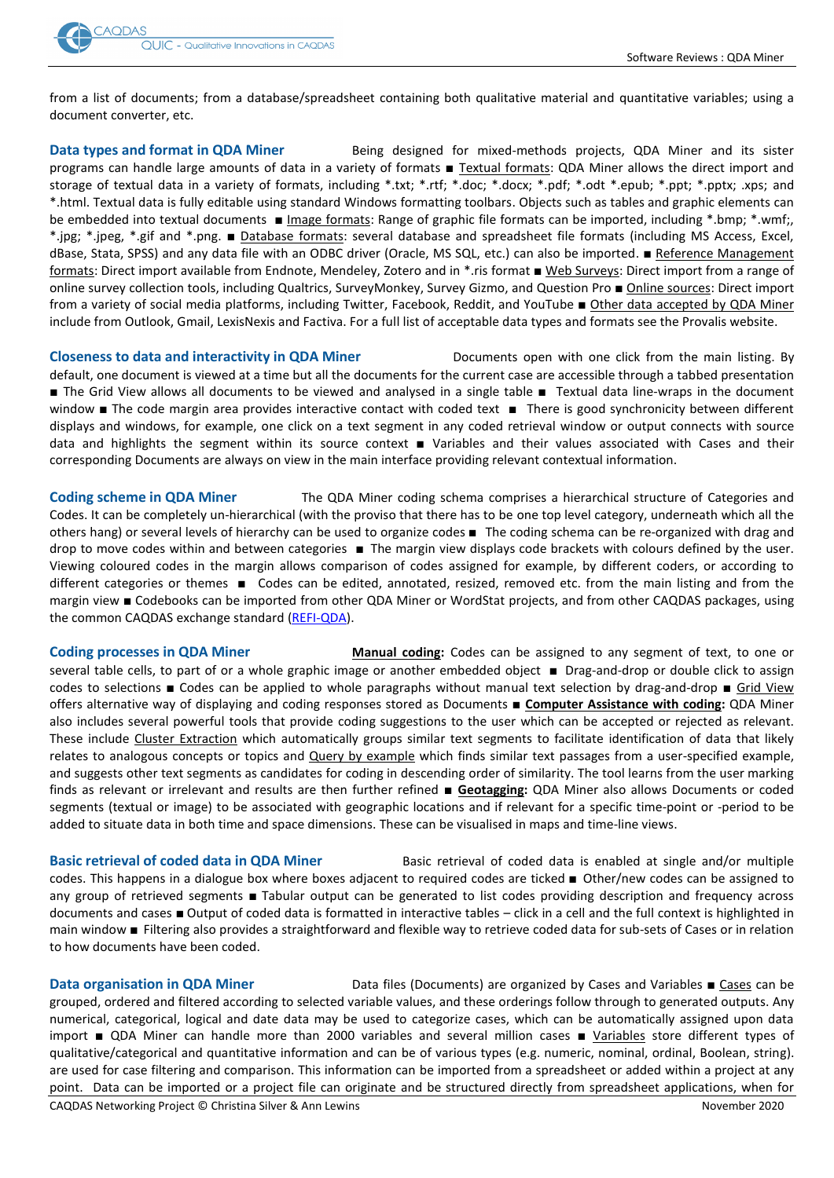

from a list of documents; from a database/spreadsheet containing both qualitative material and quantitative variables; using a document converter, etc.

**Data types and format in QDA Miner** Being designed for mixed-methods projects, QDA Miner and its sister programs can handle large amounts of data in a variety of formats ■ Textual formats: QDA Miner allows the direct import and storage of textual data in a variety of formats, including \*.txt; \*.rtf; \*.doc; \*.docx; \*.pdf; \*.odt \*.epub; \*.ppt; \*.pptx; .xps; and \*.html. Textual data is fully editable using standard Windows formatting toolbars. Objects such as tables and graphic elements can be embedded into textual documents ■ Image formats: Range of graphic file formats can be imported, including \*.bmp; \*.wmf;, \*.jpg; \*.jpeg, \*.gif and \*.png. ■ Database formats: several database and spreadsheet file formats (including MS Access, Excel, dBase, Stata, SPSS) and any data file with an ODBC driver (Oracle, MS SQL, etc.) can also be imported. ■ Reference Management formats: Direct import available from Endnote, Mendeley, Zotero and in \*.ris format ■ Web Surveys: Direct import from a range of online survey collection tools, including Qualtrics, SurveyMonkey, Survey Gizmo, and Question Pro ■ Online sources: Direct import from a variety of social media platforms, including Twitter, Facebook, Reddit, and YouTube ■ Other data accepted by QDA Miner include from Outlook, Gmail, LexisNexis and Factiva. For a full list of acceptable data types and formats see the Provalis website.

**Closeness to data and interactivity in QDA Miner** Documents open with one click from the main listing. By default, one document is viewed at a time but all the documents for the current case are accessible through a tabbed presentation ■ The Grid View allows all documents to be viewed and analysed in a single table ■ Textual data line-wraps in the document window ■ The code margin area provides interactive contact with coded text ■ There is good synchronicity between different displays and windows, for example, one click on a text segment in any coded retrieval window or output connects with source data and highlights the segment within its source context ■ Variables and their values associated with Cases and their corresponding Documents are always on view in the main interface providing relevant contextual information.

**Coding scheme in QDA Miner** The QDA Miner coding schema comprises a hierarchical structure of Categories and Codes. It can be completely un-hierarchical (with the proviso that there has to be one top level category, underneath which all the others hang) or several levels of hierarchy can be used to organize codes ■ The coding schema can be re-organized with drag and drop to move codes within and between categories ■ The margin view displays code brackets with colours defined by the user. Viewing coloured codes in the margin allows comparison of codes assigned for example, by different coders, or according to different categories or themes ■ Codes can be edited, annotated, resized, removed etc. from the main listing and from the margin view ■ Codebooks can be imported from other QDA Miner or WordStat projects, and from other CAQDAS packages, using the common CAQDAS exchange standard [\(REFI-QDA\)](https://www.qdasoftware.org/).

**Coding processes in QDA Miner Manual coding:** Codes can be assigned to any segment of text, to one or several table cells, to part of or a whole graphic image or another embedded object ■ Drag-and-drop or double click to assign codes to selections ■ Codes can be applied to whole paragraphs without manual text selection by drag-and-drop ■ Grid View offers alternative way of displaying and coding responses stored as Documents ■ **Computer Assistance with coding:** QDA Miner also includes several powerful tools that provide coding suggestions to the user which can be accepted or rejected as relevant. These include Cluster Extraction which automatically groups similar text segments to facilitate identification of data that likely relates to analogous concepts or topics and **Query by example** which finds similar text passages from a user-specified example, and suggests other text segments as candidates for coding in descending order of similarity. The tool learns from the user marking finds as relevant or irrelevant and results are then further refined ■ **Geotagging:** QDA Miner also allows Documents or coded segments (textual or image) to be associated with geographic locations and if relevant for a specific time-point or -period to be added to situate data in both time and space dimensions. These can be visualised in maps and time-line views.

**Basic retrieval of coded data in QDA Miner** Basic retrieval of coded data is enabled at single and/or multiple codes. This happens in a dialogue box where boxes adjacent to required codes are ticked ■ Other/new codes can be assigned to any group of retrieved segments ■ Tabular output can be generated to list codes providing description and frequency across documents and cases ■ Output of coded data is formatted in interactive tables – click in a cell and the full context is highlighted in main window ■ Filtering also provides a straightforward and flexible way to retrieve coded data for sub-sets of Cases or in relation to how documents have been coded.

**Data organisation in QDA Miner** Data files (Documents) are organized by Cases and Variables ■ Cases can be grouped, ordered and filtered according to selected variable values, and these orderings follow through to generated outputs. Any numerical, categorical, logical and date data may be used to categorize cases, which can be automatically assigned upon data import ■ QDA Miner can handle more than 2000 variables and several million cases ■ Variables store different types of qualitative/categorical and quantitative information and can be of various types (e.g. numeric, nominal, ordinal, Boolean, string). are used for case filtering and comparison. This information can be imported from a spreadsheet or added within a project at any point.Data can be imported or a project file can originate and be structured directly from spreadsheet applications, when for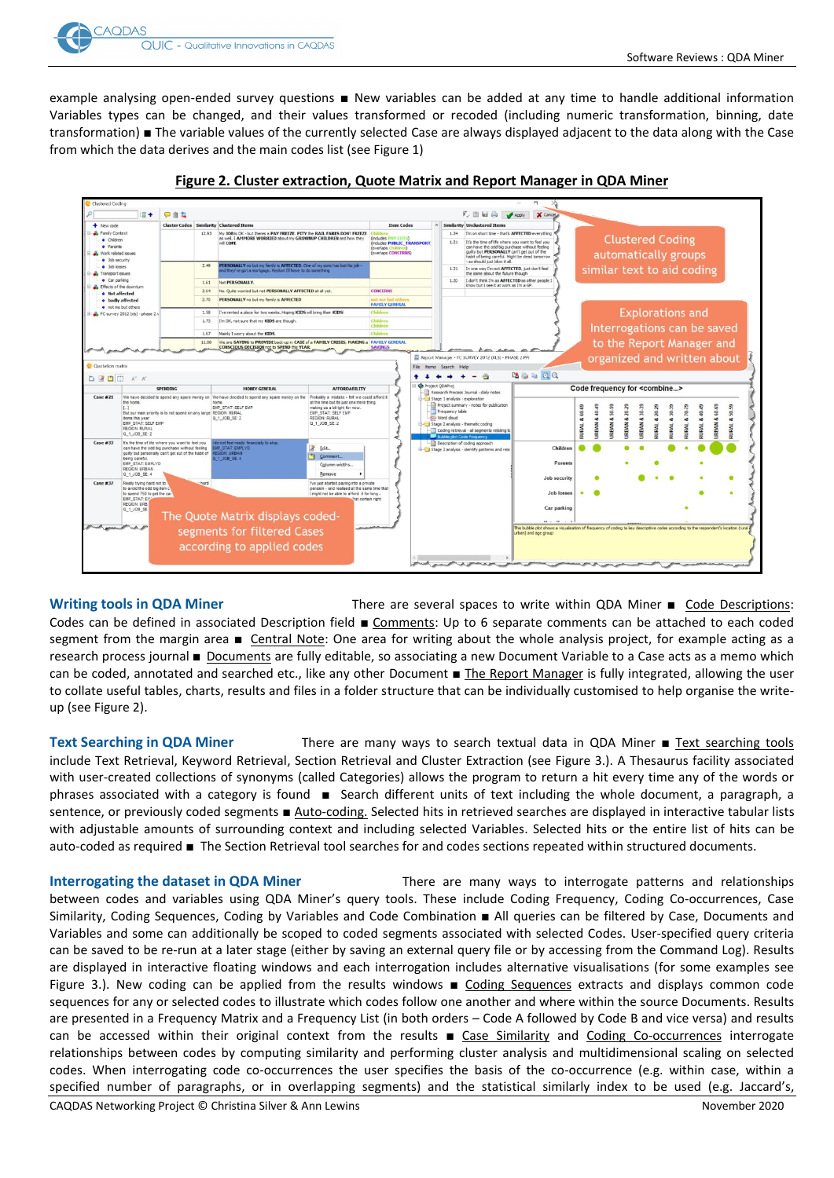

example analysing open-ended survey questions ■ New variables can be added at any time to handle additional information Variables types can be changed, and their values transformed or recoded (including numeric transformation, binning, date transformation) ■ The variable values of the currently selected Case are always displayed adjacent to the data along with the Case from which the data derives and the main codes list (see Figure 1)



### **Figure 2. Cluster extraction, Quote Matrix and Report Manager in QDA Miner**

**Writing tools in QDA Miner** There are several spaces to write within QDA Miner ■ Code Descriptions: Codes can be defined in associated Description field ■ Comments: Up to 6 separate comments can be attached to each coded segment from the margin area ■ Central Note: One area for writing about the whole analysis project, for example acting as a research process journal ■ Documents are fully editable, so associating a new Document Variable to a Case acts as a memo which can be coded, annotated and searched etc., like any other Document ■ The Report Manager is fully integrated, allowing the user to collate useful tables, charts, results and files in a folder structure that can be individually customised to help organise the writeup (see Figure 2).

Text Searching in QDA Miner There are many ways to search textual data in QDA Miner ■ Text searching tools include Text Retrieval, Keyword Retrieval, Section Retrieval and Cluster Extraction (see Figure 3.). A Thesaurus facility associated with user-created collections of synonyms (called Categories) allows the program to return a hit every time any of the words or phrases associated with a category is found ■ Search different units of text including the whole document, a paragraph, a sentence, or previously coded segments ■ Auto-coding. Selected hits in retrieved searches are displayed in interactive tabular lists with adjustable amounts of surrounding context and including selected Variables. Selected hits or the entire list of hits can be auto-coded as required ■ The Section Retrieval tool searches for and codes sections repeated within structured documents.

**Interrogating the dataset in QDA Miner** There are many ways to interrogate patterns and relationships between codes and variables using QDA Miner's query tools. These include Coding Frequency, Coding Co-occurrences, Case Similarity, Coding Sequences, Coding by Variables and Code Combination ■ All queries can be filtered by Case, Documents and Variables and some can additionally be scoped to coded segments associated with selected Codes. User-specified query criteria can be saved to be re-run at a later stage (either by saving an external query file or by accessing from the Command Log). Results are displayed in interactive floating windows and each interrogation includes alternative visualisations (for some examples see Figure 3.). New coding can be applied from the results windows ■ Coding Sequences extracts and displays common code sequences for any or selected codes to illustrate which codes follow one another and where within the source Documents. Results are presented in a Frequency Matrix and a Frequency List (in both orders – Code A followed by Code B and vice versa) and results can be accessed within their original context from the results ■ Case Similarity and Coding Co-occurrences interrogate relationships between codes by computing similarity and performing cluster analysis and multidimensional scaling on selected codes. When interrogating code co-occurrences the user specifies the basis of the co-occurrence (e.g. within case, within a specified number of paragraphs, or in overlapping segments) and the statistical similarly index to be used (e.g. Jaccard's,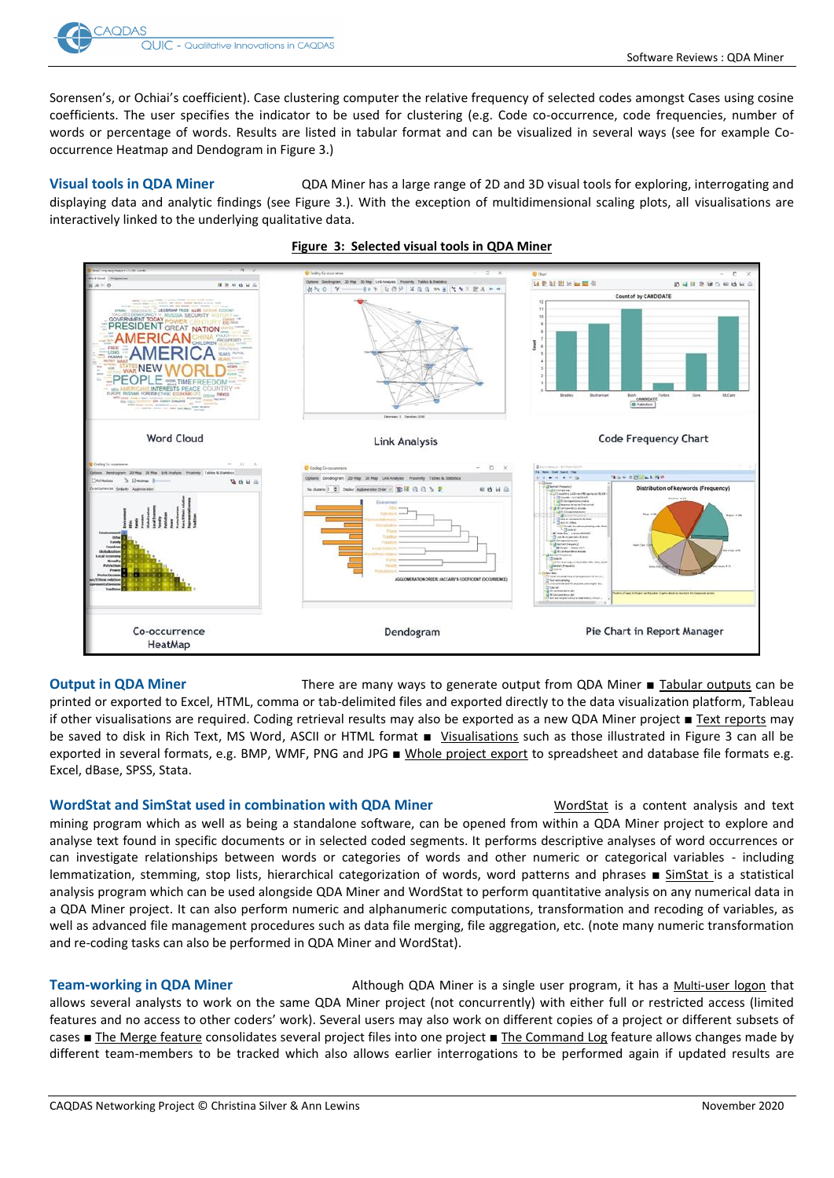

Sorensen's, or Ochiai's coefficient). Case clustering computer the relative frequency of selected codes amongst Cases using cosine coefficients. The user specifies the indicator to be used for clustering (e.g. Code co-occurrence, code frequencies, number of words or percentage of words. Results are listed in tabular format and can be visualized in several ways (see for example Cooccurrence Heatmap and Dendogram in Figure 3.)

**Visual tools in QDA Miner** QDA Miner has a large range of 2D and 3D visual tools for exploring, interrogating and displaying data and analytic findings (see Figure 3.). With the exception of multidimensional scaling plots, all visualisations are interactively linked to the underlying qualitative data.



### **Figure 3: Selected visual tools in QDA Miner**

**Output in QDA Miner** There are many ways to generate output from QDA Miner ■ Tabular outputs can be printed or exported to Excel, HTML, comma or tab-delimited files and exported directly to the data visualization platform, Tableau if other visualisations are required. Coding retrieval results may also be exported as a new QDA Miner project ■ Text reports may be saved to disk in Rich Text, MS Word, ASCII or HTML format ■ Visualisations such as those illustrated in Figure 3 can all be exported in several formats, e.g. BMP, WMF, PNG and JPG ■ Whole project export to spreadsheet and database file formats e.g. Excel, dBase, SPSS, Stata.

### **WordStat and SimStat used in combination with QDA Miner** WordStat is a content analysis and text

mining program which as well as being a standalone software, can be opened from within a QDA Miner project to explore and analyse text found in specific documents or in selected coded segments. It performs descriptive analyses of word occurrences or can investigate relationships between words or categories of words and other numeric or categorical variables - including lemmatization, stemming, stop lists, hierarchical categorization of words, word patterns and phrases ■ SimStat is a statistical analysis program which can be used alongside QDA Miner and WordStat to perform quantitative analysis on any numerical data in a QDA Miner project. It can also perform numeric and alphanumeric computations, transformation and recoding of variables, as well as advanced file management procedures such as data file merging, file aggregation, etc. (note many numeric transformation and re-coding tasks can also be performed in QDA Miner and WordStat).

**Team-working in QDA Miner Although QDA Miner is a single user program**, it has a Multi-user logon that allows several analysts to work on the same QDA Miner project (not concurrently) with either full or restricted access (limited features and no access to other coders' work). Several users may also work on different copies of a project or different subsets of cases ■ The Merge feature consolidates several project files into one project ■ The Command Log feature allows changes made by different team-members to be tracked which also allows earlier interrogations to be performed again if updated results are